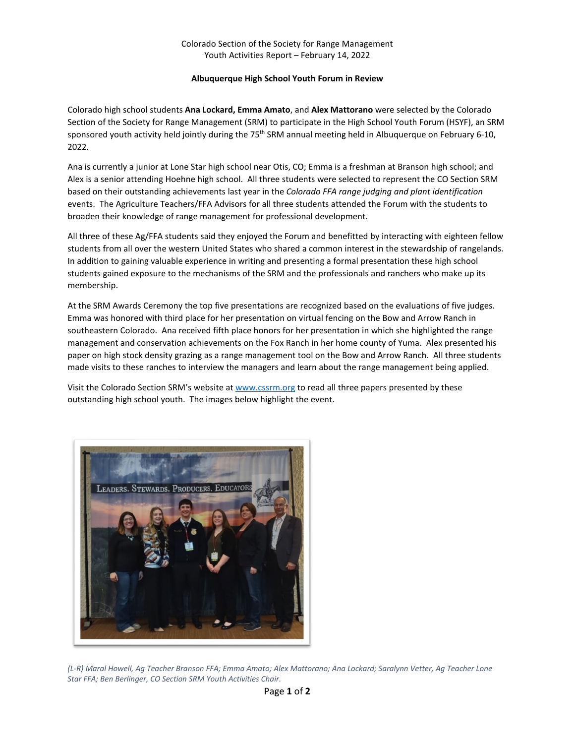## **Albuquerque High School Youth Forum in Review**

Colorado high school students **Ana Lockard, Emma Amato**, and **Alex Mattorano** were selected by the Colorado Section of the Society for Range Management (SRM) to participate in the High School Youth Forum (HSYF), an SRM sponsored youth activity held jointly during the 75<sup>th</sup> SRM annual meeting held in Albuquerque on February 6-10, 2022.

Ana is currently a junior at Lone Star high school near Otis, CO; Emma is a freshman at Branson high school; and Alex is a senior attending Hoehne high school. All three students were selected to represent the CO Section SRM based on their outstanding achievements last year in the *Colorado FFA range judging and plant identification* events. The Agriculture Teachers/FFA Advisors for all three students attended the Forum with the students to broaden their knowledge of range management for professional development.

All three of these Ag/FFA students said they enjoyed the Forum and benefitted by interacting with eighteen fellow students from all over the western United States who shared a common interest in the stewardship of rangelands. In addition to gaining valuable experience in writing and presenting a formal presentation these high school students gained exposure to the mechanisms of the SRM and the professionals and ranchers who make up its membership.

At the SRM Awards Ceremony the top five presentations are recognized based on the evaluations of five judges. Emma was honored with third place for her presentation on virtual fencing on the Bow and Arrow Ranch in southeastern Colorado. Ana received fifth place honors for her presentation in which she highlighted the range management and conservation achievements on the Fox Ranch in her home county of Yuma. Alex presented his paper on high stock density grazing as a range management tool on the Bow and Arrow Ranch. All three students made visits to these ranches to interview the managers and learn about the range management being applied.

Visit the Colorado Section SRM's website at www.cssrm.org to read all three papers presented by these outstanding high school youth. The images below highlight the event.



*(L-R) Maral Howell, Ag Teacher Branson FFA; Emma Amato; Alex Mattorano; Ana Lockard; Saralynn Vetter, Ag Teacher Lone Star FFA; Ben Berlinger, CO Section SRM Youth Activities Chair.*